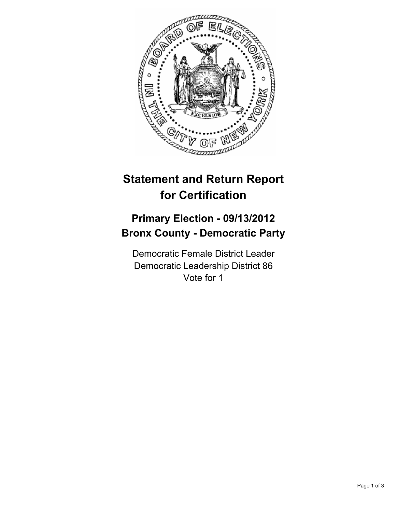

## **Statement and Return Report for Certification**

## **Primary Election - 09/13/2012 Bronx County - Democratic Party**

Democratic Female District Leader Democratic Leadership District 86 Vote for 1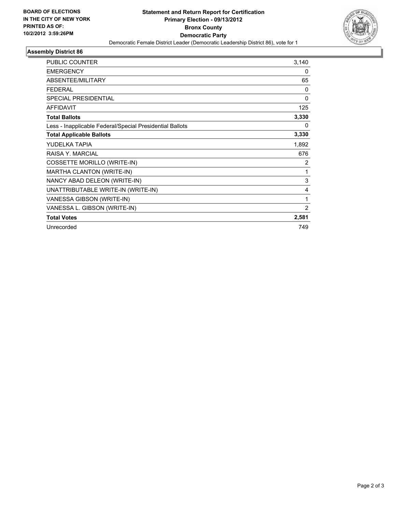

## **Assembly District 86**

| <b>PUBLIC COUNTER</b>                                    | 3,140        |
|----------------------------------------------------------|--------------|
| <b>EMERGENCY</b>                                         | 0            |
| ABSENTEE/MILITARY                                        | 65           |
| <b>FEDERAL</b>                                           | $\mathbf{0}$ |
| <b>SPECIAL PRESIDENTIAL</b>                              | 0            |
| <b>AFFIDAVIT</b>                                         | 125          |
| <b>Total Ballots</b>                                     | 3,330        |
| Less - Inapplicable Federal/Special Presidential Ballots | 0            |
| <b>Total Applicable Ballots</b>                          | 3,330        |
| YUDELKA TAPIA                                            | 1,892        |
| RAISA Y. MARCIAL                                         | 676          |
| COSSETTE MORILLO (WRITE-IN)                              | 2            |
| MARTHA CLANTON (WRITE-IN)                                | 1            |
| NANCY ABAD DELEON (WRITE-IN)                             | 3            |
| UNATTRIBUTABLE WRITE-IN (WRITE-IN)                       | 4            |
| VANESSA GIBSON (WRITE-IN)                                | 1            |
| VANESSA L. GIBSON (WRITE-IN)                             | 2            |
| <b>Total Votes</b>                                       | 2,581        |
| Unrecorded                                               | 749          |